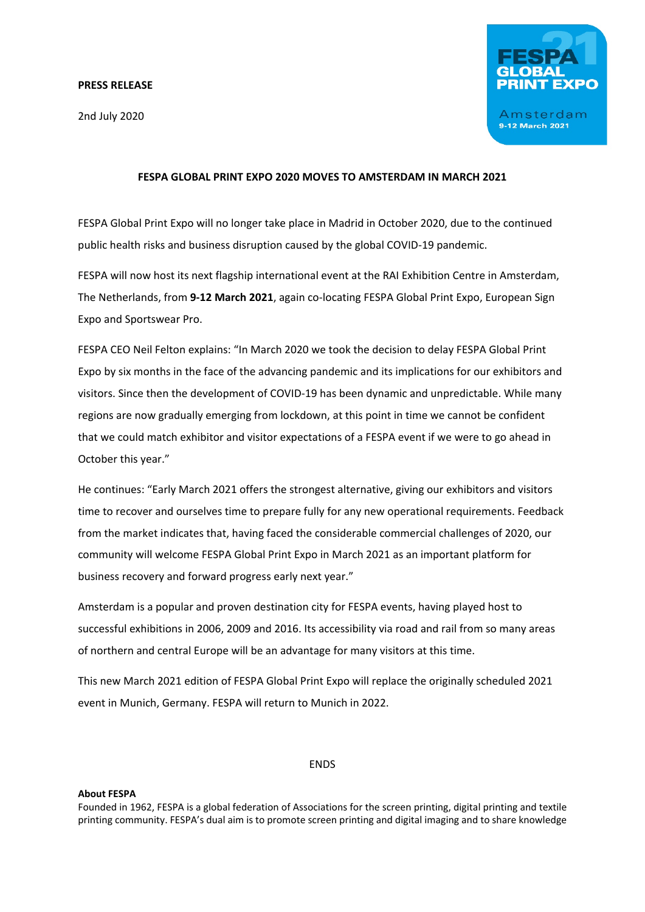#### **PRESS RELEASE**

2nd July 2020



# **FESPA GLOBAL PRINT EXPO 2020 MOVES TO AMSTERDAM IN MARCH 2021**

FESPA Global Print Expo will no longer take place in Madrid in October 2020, due to the continued public health risks and business disruption caused by the global COVID-19 pandemic.

FESPA will now host its next flagship international event at the RAI Exhibition Centre in Amsterdam, The Netherlands, from **9-12 March 2021**, again co-locating FESPA Global Print Expo, European Sign Expo and Sportswear Pro.

FESPA CEO Neil Felton explains: "In March 2020 we took the decision to delay FESPA Global Print Expo by six months in the face of the advancing pandemic and its implications for our exhibitors and visitors. Since then the development of COVID-19 has been dynamic and unpredictable. While many regions are now gradually emerging from lockdown, at this point in time we cannot be confident that we could match exhibitor and visitor expectations of a FESPA event if we were to go ahead in October this year."

He continues: "Early March 2021 offers the strongest alternative, giving our exhibitors and visitors time to recover and ourselves time to prepare fully for any new operational requirements. Feedback from the market indicates that, having faced the considerable commercial challenges of 2020, our community will welcome FESPA Global Print Expo in March 2021 as an important platform for business recovery and forward progress early next year."

Amsterdam is a popular and proven destination city for FESPA events, having played host to successful exhibitions in 2006, 2009 and 2016. Its accessibility via road and rail from so many areas of northern and central Europe will be an advantage for many visitors at this time.

This new March 2021 edition of FESPA Global Print Expo will replace the originally scheduled 2021 event in Munich, Germany. FESPA will return to Munich in 2022.

# ENDS

#### **About FESPA**

Founded in 1962, FESPA is a global federation of Associations for the screen printing, digital printing and textile printing community. FESPA's dual aim is to promote screen printing and digital imaging and to share knowledge